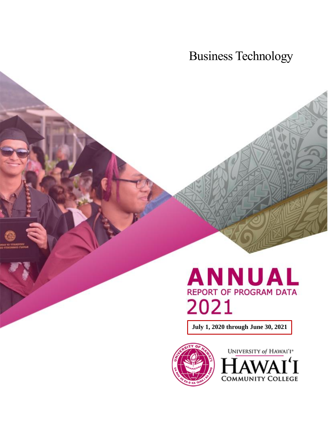Business Technology

# **ANNUAL REPORT OF PROGRAM DATA** 2021

**July 1, 2020 through June 30, 2021**



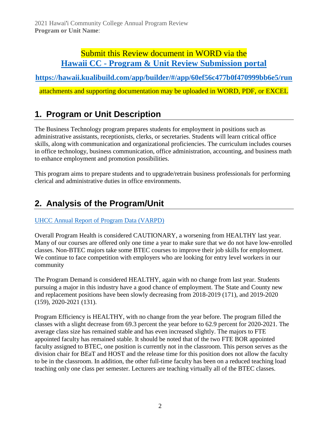### Submit this Review document in WORD via the **Hawaii CC - [Program & Unit Review Submission portal](https://hawaii.kualibuild.com/app/builder/#/app/60ef56c477b0f470999bb6e5/run)**

**<https://hawaii.kualibuild.com/app/builder/#/app/60ef56c477b0f470999bb6e5/run>**

attachments and supporting documentation may be uploaded in WORD, PDF, or EXCEL

# **1. Program or Unit Description**

The Business Technology program prepares students for employment in positions such as administrative assistants, receptionists, clerks, or secretaries. Students will learn critical office skills, along with communication and organizational proficiencies. The curriculum includes courses in office technology, business communication, office administration, accounting, and business math to enhance employment and promotion possibilities.

This program aims to prepare students and to upgrade/retrain business professionals for performing clerical and administrative duties in office environments.

# **2. Analysis of the Program/Unit**

#### [UHCC Annual Report of Program Data \(VARPD\)](https://uhcc.hawaii.edu/varpd/)

Overall Program Health is considered CAUTIONARY, a worsening from HEALTHY last year. Many of our courses are offered only one time a year to make sure that we do not have low-enrolled classes. Non-BTEC majors take some BTEC courses to improve their job skills for employment. We continue to face competition with employers who are looking for entry level workers in our community

The Program Demand is considered HEALTHY, again with no change from last year. Students pursuing a major in this industry have a good chance of employment. The State and County new and replacement positions have been slowly decreasing from 2018-2019 (171), and 2019-2020 (159), 2020-2021 (131).

Program Efficiency is HEALTHY, with no change from the year before. The program filled the classes with a slight decrease from 69.3 percent the year before to 62.9 percent for 2020-2021. The average class size has remained stable and has even increased slightly. The majors to FTE appointed faculty has remained stable. It should be noted that of the two FTE BOR appointed faculty assigned to BTEC, one position is currently not in the classroom. This person serves as the division chair for BEaT and HOST and the release time for this position does not allow the faculty to be in the classroom. In addition, the other full-time faculty has been on a reduced teaching load teaching only one class per semester. Lecturers are teaching virtually all of the BTEC classes.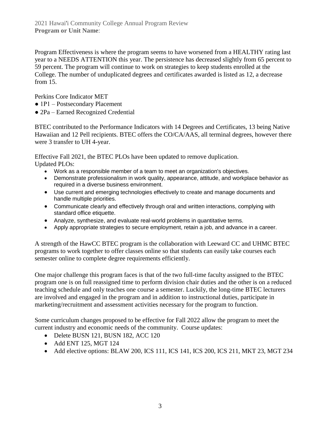Program Effectiveness is where the program seems to have worsened from a HEALTHY rating last year to a NEEDS ATTENTION this year. The persistence has decreased slightly from 65 percent to 59 percent. The program will continue to work on strategies to keep students enrolled at the College. The number of unduplicated degrees and certificates awarded is listed as 12, a decrease from 15.

Perkins Core Indicator MET

- 1P1 Postsecondary Placement
- 2Pa Earned Recognized Credential

BTEC contributed to the Performance Indicators with 14 Degrees and Certificates, 13 being Native Hawaiian and 12 Pell recipients. BTEC offers the CO/CA/AAS, all terminal degrees, however there were 3 transfer to UH 4-year.

Effective Fall 2021, the BTEC PLOs have been updated to remove duplication. Updated PLOs:

- Work as a responsible member of a team to meet an organization's objectives.
- Demonstrate professionalism in work quality, appearance, attitude, and workplace behavior as required in a diverse business environment.
- Use current and emerging technologies effectively to create and manage documents and handle multiple priorities.
- Communicate clearly and effectively through oral and written interactions, complying with standard office etiquette.
- Analyze, synthesize, and evaluate real-world problems in quantitative terms.
- Apply appropriate strategies to secure employment, retain a job, and advance in a career.

A strength of the HawCC BTEC program is the collaboration with Leeward CC and UHMC BTEC programs to work together to offer classes online so that students can easily take courses each semester online to complete degree requirements efficiently.

One major challenge this program faces is that of the two full-time faculty assigned to the BTEC program one is on full reassigned time to perform division chair duties and the other is on a reduced teaching schedule and only teaches one course a semester. Luckily, the long-time BTEC lecturers are involved and engaged in the program and in addition to instructional duties, participate in marketing/recruitment and assessment activities necessary for the program to function.

Some curriculum changes proposed to be effective for Fall 2022 allow the program to meet the current industry and economic needs of the community. Course updates:

- Delete BUSN 121, BUSN 182, ACC 120
- Add ENT 125, MGT 124
- Add elective options: BLAW 200, ICS 111, ICS 141, ICS 200, ICS 211, MKT 23, MGT 234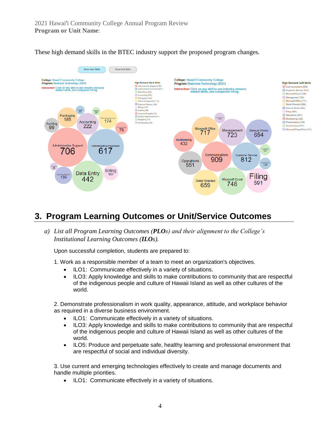These high demand skills in the BTEC industry support the proposed program changes.



## **3. Program Learning Outcomes or Unit/Service Outcomes**

*a) List all Program Learning Outcomes (PLOs) and their alignment to the College's Institutional Learning Outcomes (ILOs).*

Upon successful completion, students are prepared to:

1. Work as a responsible member of a team to meet an organization's objectives.

- ILO1: Communicate effectively in a variety of situations.
- ILO3: Apply knowledge and skills to make contributions to community that are respectful of the indigenous people and culture of Hawaii Island as well as other cultures of the world.

2. Demonstrate professionalism in work quality, appearance, attitude, and workplace behavior as required in a diverse business environment.

- ILO1: Communicate effectively in a variety of situations.
- ILO3: Apply knowledge and skills to make contributions to community that are respectful of the indigenous people and culture of Hawaii Island as well as other cultures of the world.
- ILO5: Produce and perpetuate safe, healthy learning and professional environment that are respectful of social and individual diversity.

3. Use current and emerging technologies effectively to create and manage documents and handle multiple priorities.

• ILO1: Communicate effectively in a variety of situations.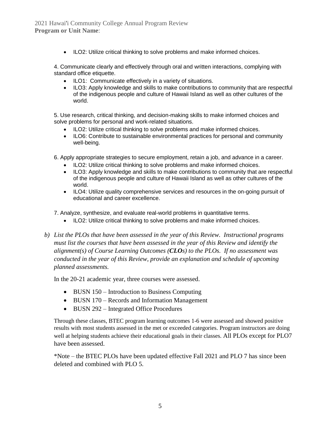• ILO2: Utilize critical thinking to solve problems and make informed choices.

4. Communicate clearly and effectively through oral and written interactions, complying with standard office etiquette.

- ILO1: Communicate effectively in a variety of situations.
- ILO3: Apply knowledge and skills to make contributions to community that are respectful of the indigenous people and culture of Hawaii Island as well as other cultures of the world.

5. Use research, critical thinking, and decision-making skills to make informed choices and solve problems for personal and work-related situations.

- ILO2: Utilize critical thinking to solve problems and make informed choices.
- ILO6: Contribute to sustainable environmental practices for personal and community well-being.

6. Apply appropriate strategies to secure employment, retain a job, and advance in a career.

- ILO2: Utilize critical thinking to solve problems and make informed choices.
- ILO3: Apply knowledge and skills to make contributions to community that are respectful of the indigenous people and culture of Hawaii Island as well as other cultures of the world.
- ILO4: Utilize quality comprehensive services and resources in the on-going pursuit of educational and career excellence.

7. Analyze, synthesize, and evaluate real-world problems in quantitative terms.

- ILO2: Utilize critical thinking to solve problems and make informed choices.
- *b) List the PLOs that have been assessed in the year of this Review. Instructional programs must list the courses that have been assessed in the year of this Review and identify the alignment(s) of Course Learning Outcomes (CLOs) to the PLOs. If no assessment was conducted in the year of this Review, provide an explanation and schedule of upcoming planned assessments.*

In the 20-21 academic year, three courses were assessed.

- BUSN 150 Introduction to Business Computing
- BUSN 170 Records and Information Management
- BUSN 292 Integrated Office Procedures

Through these classes, BTEC program learning outcomes 1-6 were assessed and showed positive results with most students assessed in the met or exceeded categories. Program instructors are doing well at helping students achieve their educational goals in their classes. All PLOs except for PLO7 have been assessed.

\*Note – the BTEC PLOs have been updated effective Fall 2021 and PLO 7 has since been deleted and combined with PLO 5.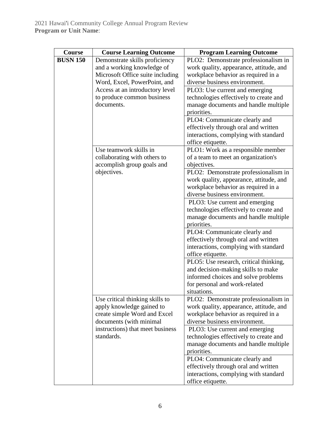| Course          | <b>Course Learning Outcome</b>   | <b>Program Learning Outcome</b>                                      |
|-----------------|----------------------------------|----------------------------------------------------------------------|
| <b>BUSN 150</b> | Demonstrate skills proficiency   | PLO2: Demonstrate professionalism in                                 |
|                 | and a working knowledge of       | work quality, appearance, attitude, and                              |
|                 | Microsoft Office suite including | workplace behavior as required in a                                  |
|                 | Word, Excel, PowerPoint, and     | diverse business environment.                                        |
|                 | Access at an introductory level  | PLO3: Use current and emerging                                       |
|                 | to produce common business       | technologies effectively to create and                               |
|                 | documents.                       | manage documents and handle multiple                                 |
|                 |                                  | priorities.                                                          |
|                 |                                  | PLO4: Communicate clearly and                                        |
|                 |                                  | effectively through oral and written                                 |
|                 |                                  | interactions, complying with standard                                |
|                 |                                  | office etiquette.                                                    |
|                 | Use teamwork skills in           | PLO1: Work as a responsible member                                   |
|                 | collaborating with others to     | of a team to meet an organization's                                  |
|                 | accomplish group goals and       | objectives.                                                          |
|                 | objectives.                      | PLO2: Demonstrate professionalism in                                 |
|                 |                                  | work quality, appearance, attitude, and                              |
|                 |                                  | workplace behavior as required in a<br>diverse business environment. |
|                 |                                  | PLO3: Use current and emerging                                       |
|                 |                                  | technologies effectively to create and                               |
|                 |                                  | manage documents and handle multiple                                 |
|                 |                                  | priorities.                                                          |
|                 |                                  | PLO4: Communicate clearly and                                        |
|                 |                                  | effectively through oral and written                                 |
|                 |                                  | interactions, complying with standard                                |
|                 |                                  | office etiquette.                                                    |
|                 |                                  | PLO5: Use research, critical thinking,                               |
|                 |                                  | and decision-making skills to make                                   |
|                 |                                  | informed choices and solve problems                                  |
|                 |                                  | for personal and work-related                                        |
|                 |                                  | situations.                                                          |
|                 | Use critical thinking skills to  | PLO2: Demonstrate professionalism in                                 |
|                 | apply knowledge gained to        | work quality, appearance, attitude, and                              |
|                 | create simple Word and Excel     | workplace behavior as required in a                                  |
|                 | documents (with minimal          | diverse business environment.                                        |
|                 | instructions) that meet business | PLO3: Use current and emerging                                       |
|                 | standards.                       | technologies effectively to create and                               |
|                 |                                  | manage documents and handle multiple                                 |
|                 |                                  | priorities.                                                          |
|                 |                                  | PLO4: Communicate clearly and                                        |
|                 |                                  | effectively through oral and written                                 |
|                 |                                  | interactions, complying with standard                                |
|                 |                                  | office etiquette.                                                    |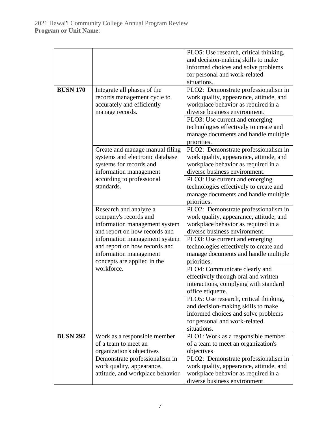| <b>BUSN 170</b> | Integrate all phases of the<br>records management cycle to<br>accurately and efficiently<br>manage records.                                                        | PLO5: Use research, critical thinking,<br>and decision-making skills to make<br>informed choices and solve problems<br>for personal and work-related<br>situations.<br>PLO2: Demonstrate professionalism in<br>work quality, appearance, attitude, and<br>workplace behavior as required in a<br>diverse business environment.<br>PLO3: Use current and emerging<br>technologies effectively to create and<br>manage documents and handle multiple |
|-----------------|--------------------------------------------------------------------------------------------------------------------------------------------------------------------|----------------------------------------------------------------------------------------------------------------------------------------------------------------------------------------------------------------------------------------------------------------------------------------------------------------------------------------------------------------------------------------------------------------------------------------------------|
|                 | Create and manage manual filing<br>systems and electronic database<br>systems for records and<br>information management<br>according to professional<br>standards. | priorities.<br>PLO2: Demonstrate professionalism in<br>work quality, appearance, attitude, and<br>workplace behavior as required in a<br>diverse business environment.<br>PLO3: Use current and emerging<br>technologies effectively to create and<br>manage documents and handle multiple<br>priorities.                                                                                                                                          |
|                 | Research and analyze a<br>company's records and<br>information management system<br>and report on how records and                                                  | PLO2: Demonstrate professionalism in<br>work quality, appearance, attitude, and<br>workplace behavior as required in a<br>diverse business environment.                                                                                                                                                                                                                                                                                            |
|                 | information management system<br>and report on how records and<br>information management<br>concepts are applied in the                                            | PLO3: Use current and emerging<br>technologies effectively to create and<br>manage documents and handle multiple<br>priorities.                                                                                                                                                                                                                                                                                                                    |
|                 | workforce.                                                                                                                                                         | PLO4: Communicate clearly and<br>effectively through oral and written<br>interactions, complying with standard<br>office etiquette.                                                                                                                                                                                                                                                                                                                |
|                 |                                                                                                                                                                    | PLO5: Use research, critical thinking,<br>and decision-making skills to make<br>informed choices and solve problems<br>for personal and work-related<br>situations.                                                                                                                                                                                                                                                                                |
| <b>BUSN 292</b> | Work as a responsible member<br>of a team to meet an<br>organization's objectives                                                                                  | PLO1: Work as a responsible member<br>of a team to meet an organization's<br>objectives                                                                                                                                                                                                                                                                                                                                                            |
|                 | Demonstrate professionalism in<br>work quality, appearance,<br>attitude, and workplace behavior                                                                    | PLO2: Demonstrate professionalism in<br>work quality, appearance, attitude, and<br>workplace behavior as required in a<br>diverse business environment                                                                                                                                                                                                                                                                                             |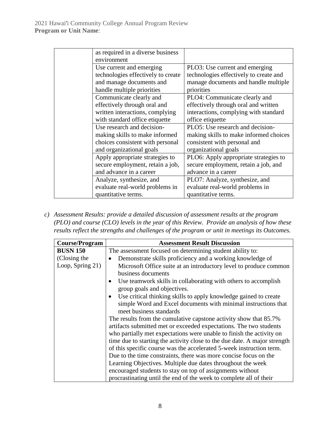| as required in a diverse business  |                                        |
|------------------------------------|----------------------------------------|
| environment                        |                                        |
| Use current and emerging           | PLO3: Use current and emerging         |
| technologies effectively to create | technologies effectively to create and |
| and manage documents and           | manage documents and handle multiple   |
| handle multiple priorities         | priorities                             |
| Communicate clearly and            | PLO4: Communicate clearly and          |
| effectively through oral and       | effectively through oral and written   |
| written interactions, complying    | interactions, complying with standard  |
| with standard office etiquette     | office etiquette                       |
| Use research and decision-         | PLO5: Use research and decision-       |
| making skills to make informed     | making skills to make informed choices |
| choices consistent with personal   | consistent with personal and           |
| and organizational goals           | organizational goals                   |
| Apply appropriate strategies to    | PLO6: Apply appropriate strategies to  |
| secure employment, retain a job,   | secure employment, retain a job, and   |
| and advance in a career            | advance in a career                    |
| Analyze, synthesize, and           | PLO7: Analyze, synthesize, and         |
| evaluate real-world problems in    | evaluate real-world problems in        |
| quantitative terms.                | quantitative terms.                    |

*c) Assessment Results: provide a detailed discussion of assessment results at the program (PLO) and course (CLO) levels in the year of this Review. Provide an analysis of how these results reflect the strengths and challenges of the program or unit in meetings its Outcomes.*

| <b>Course/Program</b> | <b>Assessment Result Discussion</b>                                           |  |  |
|-----------------------|-------------------------------------------------------------------------------|--|--|
| <b>BUSN 150</b>       | The assessment focused on determining student ability to:                     |  |  |
| (Closing the          | Demonstrate skills proficiency and a working knowledge of<br>$\bullet$        |  |  |
| Loop, Spring 21)      | Microsoft Office suite at an introductory level to produce common             |  |  |
|                       | business documents                                                            |  |  |
|                       | Use teamwork skills in collaborating with others to accomplish<br>$\bullet$   |  |  |
|                       | group goals and objectives.                                                   |  |  |
|                       | Use critical thinking skills to apply knowledge gained to create<br>$\bullet$ |  |  |
|                       | simple Word and Excel documents with minimal instructions that                |  |  |
|                       | meet business standards                                                       |  |  |
|                       | The results from the cumulative capstone activity show that 85.7%             |  |  |
|                       | artifacts submitted met or exceeded expectations. The two students            |  |  |
|                       | who partially met expectations were unable to finish the activity on          |  |  |
|                       | time due to starting the activity close to the due date. A major strength     |  |  |
|                       | of this specific course was the accelerated 5-week instruction term.          |  |  |
|                       | Due to the time constraints, there was more concise focus on the              |  |  |
|                       | Learning Objectives. Multiple due dates throughout the week                   |  |  |
|                       | encouraged students to stay on top of assignments without                     |  |  |
|                       | procrastinating until the end of the week to complete all of their            |  |  |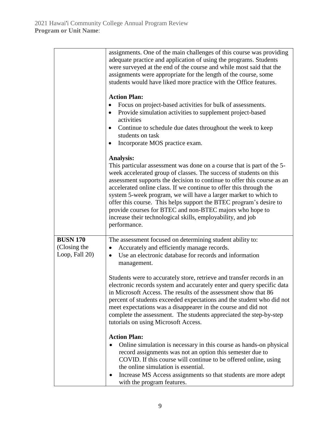|                                                   | assignments. One of the main challenges of this course was providing<br>adequate practice and application of using the programs. Students<br>were surveyed at the end of the course and while most said that the<br>assignments were appropriate for the length of the course, some<br>students would have liked more practice with the Office features.<br><b>Action Plan:</b><br>Focus on project-based activities for bulk of assessments.<br>Provide simulation activities to supplement project-based<br>$\bullet$<br>activities<br>Continue to schedule due dates throughout the week to keep<br>$\bullet$<br>students on task<br>Incorporate MOS practice exam.                    |  |  |
|---------------------------------------------------|-------------------------------------------------------------------------------------------------------------------------------------------------------------------------------------------------------------------------------------------------------------------------------------------------------------------------------------------------------------------------------------------------------------------------------------------------------------------------------------------------------------------------------------------------------------------------------------------------------------------------------------------------------------------------------------------|--|--|
|                                                   | Analysis:<br>This particular assessment was done on a course that is part of the 5-<br>week accelerated group of classes. The success of students on this<br>assessment supports the decision to continue to offer this course as an<br>accelerated online class. If we continue to offer this through the<br>system 5-week program, we will have a larger market to which to<br>offer this course. This helps support the BTEC program's desire to<br>provide courses for BTEC and non-BTEC majors who hope to<br>increase their technological skills, employability, and job<br>performance.                                                                                            |  |  |
| <b>BUSN 170</b><br>(Closing the<br>Loop, Fall 20) | The assessment focused on determining student ability to:<br>Accurately and efficiently manage records.<br>$\bullet$<br>Use an electronic database for records and information<br>$\bullet$<br>management.<br>Students were to accurately store, retrieve and transfer records in an<br>electronic records system and accurately enter and query specific data<br>in Microsoft Access. The results of the assessment show that 86<br>percent of students exceeded expectations and the student who did not<br>meet expectations was a disappearer in the course and did not<br>complete the assessment. The students appreciated the step-by-step<br>tutorials on using Microsoft Access. |  |  |
|                                                   | <b>Action Plan:</b><br>Online simulation is necessary in this course as hands-on physical<br>record assignments was not an option this semester due to<br>COVID. If this course will continue to be offered online, using<br>the online simulation is essential.<br>Increase MS Access assignments so that students are more adept<br>with the program features.                                                                                                                                                                                                                                                                                                                          |  |  |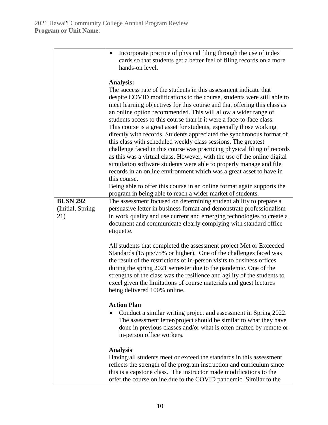|                          | Incorporate practice of physical filing through the use of index<br>$\bullet$<br>cards so that students get a better feel of filing records on a more<br>hands-on level.                                                                                                                                                                                                                                                                                                                                                                                                                                                                                                                                                                                                                                                                                                                                                                                                                                                                                     |
|--------------------------|--------------------------------------------------------------------------------------------------------------------------------------------------------------------------------------------------------------------------------------------------------------------------------------------------------------------------------------------------------------------------------------------------------------------------------------------------------------------------------------------------------------------------------------------------------------------------------------------------------------------------------------------------------------------------------------------------------------------------------------------------------------------------------------------------------------------------------------------------------------------------------------------------------------------------------------------------------------------------------------------------------------------------------------------------------------|
|                          | Analysis:<br>The success rate of the students in this assessment indicate that<br>despite COVID modifications to the course, students were still able to<br>meet learning objectives for this course and that offering this class as<br>an online option recommended. This will allow a wider range of<br>students access to this course than if it were a face-to-face class.<br>This course is a great asset for students, especially those working<br>directly with records. Students appreciated the synchronous format of<br>this class with scheduled weekly class sessions. The greatest<br>challenge faced in this course was practicing physical filing of records<br>as this was a virtual class. However, with the use of the online digital<br>simulation software students were able to properly manage and file<br>records in an online environment which was a great asset to have in<br>this course.<br>Being able to offer this course in an online format again supports the<br>program in being able to reach a wider market of students. |
| <b>BUSN 292</b>          | The assessment focused on determining student ability to prepare a                                                                                                                                                                                                                                                                                                                                                                                                                                                                                                                                                                                                                                                                                                                                                                                                                                                                                                                                                                                           |
| (Initial, Spring)<br>21) | persuasive letter in business format and demonstrate professionalism<br>in work quality and use current and emerging technologies to create a<br>document and communicate clearly complying with standard office<br>etiquette.                                                                                                                                                                                                                                                                                                                                                                                                                                                                                                                                                                                                                                                                                                                                                                                                                               |
|                          | All students that completed the assessment project Met or Exceeded<br>Standards (15 pts/75% or higher). One of the challenges faced was<br>the result of the restrictions of in-person visits to business offices<br>during the spring 2021 semester due to the pandemic. One of the<br>strengths of the class was the resilience and agility of the students to<br>excel given the limitations of course materials and guest lectures<br>being delivered 100% online.                                                                                                                                                                                                                                                                                                                                                                                                                                                                                                                                                                                       |
|                          | <b>Action Plan</b><br>Conduct a similar writing project and assessment in Spring 2022.<br>The assessment letter/project should be similar to what they have<br>done in previous classes and/or what is often drafted by remote or<br>in-person office workers.                                                                                                                                                                                                                                                                                                                                                                                                                                                                                                                                                                                                                                                                                                                                                                                               |
|                          | <b>Analysis</b><br>Having all students meet or exceed the standards in this assessment<br>reflects the strength of the program instruction and curriculum since<br>this is a capstone class. The instructor made modifications to the<br>offer the course online due to the COVID pandemic. Similar to the                                                                                                                                                                                                                                                                                                                                                                                                                                                                                                                                                                                                                                                                                                                                                   |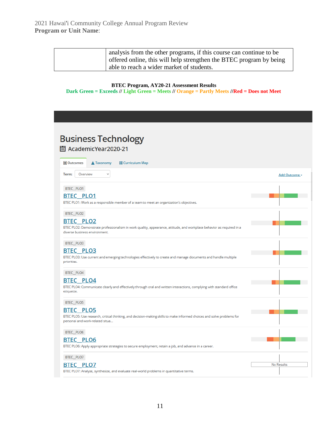| analysis from the other programs, if this course can continue to be |
|---------------------------------------------------------------------|
| offered online, this will help strengthen the BTEC program by being |
| able to reach a wider market of students.                           |

#### **BTEC Program, AY20-21 Assessment Results Dark Green = Exceeds // Light Green = Meets // Orange = Partly Meets //Red = Does not Meet**

| <b>Business Technology</b><br>圖 AcademicYear2020-21                                                                                                                                        |                   |
|--------------------------------------------------------------------------------------------------------------------------------------------------------------------------------------------|-------------------|
| <b>■</b> Outcomes<br>▲ Taxonomy<br><b>E</b> Curriculum Map                                                                                                                                 |                   |
| Term:<br>Overview<br>v                                                                                                                                                                     | Add Outcome -     |
| BTEC_PLO1                                                                                                                                                                                  |                   |
| <b>BTEC PLO1</b><br>BTEC PLO1: Work as a responsible member of a team to meet an organization's objectives.                                                                                |                   |
| BTEC_PLO2<br><b>BTEC PLO2</b><br>BTEC PLO2: Demonstrate professionalism in work quality, appearance, attitude, and workplace behavior as required in a<br>diverse business environment.    |                   |
| BTEC_PLO3<br><b>BTEC PLO3</b><br>BTEC PLO3: Use current and emerging technologies effectively to create and manage documents and handle multiple<br>priorities.                            |                   |
| BTEC_PLO4<br><b>BTEC PLO4</b><br>BTEC PLO4: Communicate clearly and effectively through oral and written interactions, complying with standard office<br>etiquette.                        |                   |
| BTEC_PLO5<br><b>BTEC PLO5</b><br>BTEC PLO5: Use research, critical thinking, and decision-making skills to make informed choices and solve problems for<br>personal and work-related situa |                   |
| BTEC_PLO6<br><b>BTEC PLO6</b><br>BTEC PLO6: Apply appropriate strategies to secure employment, retain a job, and advance in a career.                                                      |                   |
| BTEC_PLO7<br><b>BTEC PLO7</b><br>BTEC PLO7: Analyze, synthesize, and evaluate real-world problems in quantitative terms.                                                                   | <b>No Results</b> |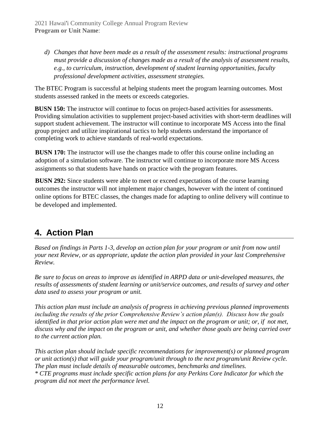*d) Changes that have been made as a result of the assessment results: instructional programs must provide a discussion of changes made as a result of the analysis of assessment results, e.g., to curriculum, instruction, development of student learning opportunities, faculty professional development activities, assessment strategies.*

The BTEC Program is successful at helping students meet the program learning outcomes. Most students assessed ranked in the meets or exceeds categories.

**BUSN 150:** The instructor will continue to focus on project-based activities for assessments. Providing simulation activities to supplement project-based activities with short-term deadlines will support student achievement. The instructor will continue to incorporate MS Access into the final group project and utilize inspirational tactics to help students understand the importance of completing work to achieve standards of real-world expectations.

**BUSN 170:** The instructor will use the changes made to offer this course online including an adoption of a simulation software. The instructor will continue to incorporate more MS Access assignments so that students have hands on practice with the program features.

**BUSN 292:** Since students were able to meet or exceed expectations of the course learning outcomes the instructor will not implement major changes, however with the intent of continued online options for BTEC classes, the changes made for adapting to online delivery will continue to be developed and implemented.

# **4. Action Plan**

*Based on findings in Parts 1-3, develop an action plan for your program or unit from now until your next Review, or as appropriate, update the action plan provided in your last Comprehensive Review.*

*Be sure to focus on areas to improve as identified in ARPD data or unit-developed measures, the results of assessments of student learning or unit/service outcomes, and results of survey and other data used to assess your program or unit.*

*This action plan must include an analysis of progress in achieving previous planned improvements including the results of the prior Comprehensive Review's action plan(s). Discuss how the goals identified in that prior action plan were met and the impact on the program or unit; or, if not met, discuss why and the impact on the program or unit, and whether those goals are being carried over to the current action plan.* 

*This action plan should include specific recommendations for improvement(s) or planned program or unit action(s) that will guide your program/unit through to the next program/unit Review cycle. The plan must include details of measurable outcomes, benchmarks and timelines. \* CTE programs must include specific action plans for any Perkins Core Indicator for which the program did not meet the performance level.*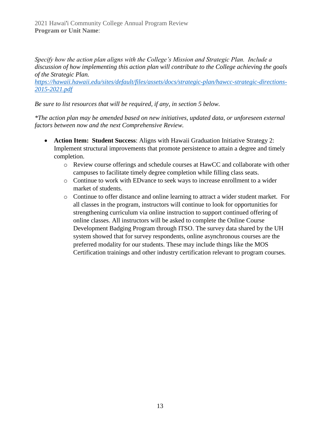*Specify how the action plan aligns with the College's Mission and Strategic Plan. Include a discussion of how implementing this action plan will contribute to the College achieving the goals of the Strategic Plan.* 

*[https://hawaii.hawaii.edu/sites/default/files/assets/docs/strategic-plan/hawcc-strategic-directions-](https://hawaii.hawaii.edu/sites/default/files/assets/docs/strategic-plan/hawcc-strategic-directions-2015-2021.pdf)[2015-2021.pdf](https://hawaii.hawaii.edu/sites/default/files/assets/docs/strategic-plan/hawcc-strategic-directions-2015-2021.pdf)*

*Be sure to list resources that will be required, if any, in section 5 below.*

*\*The action plan may be amended based on new initiatives, updated data, or unforeseen external factors between now and the next Comprehensive Review.*

- **Action Item: Student Success**: Aligns with Hawaii Graduation Initiative Strategy 2: Implement structural improvements that promote persistence to attain a degree and timely completion.
	- o Review course offerings and schedule courses at HawCC and collaborate with other campuses to facilitate timely degree completion while filling class seats.
	- o Continue to work with EDvance to seek ways to increase enrollment to a wider market of students.
	- o Continue to offer distance and online learning to attract a wider student market. For all classes in the program, instructors will continue to look for opportunities for strengthening curriculum via online instruction to support continued offering of online classes. All instructors will be asked to complete the Online Course Development Badging Program through ITSO. The survey data shared by the UH system showed that for survey respondents, online asynchronous courses are the preferred modality for our students. These may include things like the MOS Certification trainings and other industry certification relevant to program courses.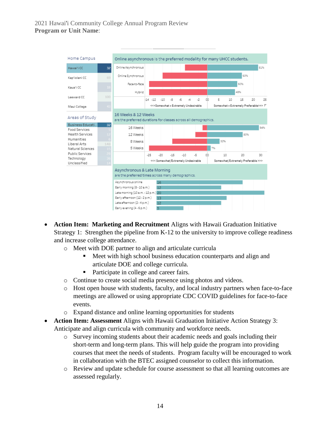

- **Action Item: Marketing and Recruitment** Aligns with Hawaii Graduation Initiative Strategy 1: Strengthen the pipeline from K-12 to the university to improve college readiness and increase college attendance.
	- o Meet with DOE partner to align and articulate curricula
		- Meet with high school business education counterparts and align and articulate DOE and college curricula.
		- Participate in college and career fairs.
	- o Continue to create social media presence using photos and videos.
	- o Host open house with students, faculty, and local industry partners when face-to-face meetings are allowed or using appropriate CDC COVID guidelines for face-to-face events.
	- o Expand distance and online learning opportunities for students
- **Action Item: Assessment** Aligns with Hawaii Graduation Initiative Action Strategy 3: Anticipate and align curricula with community and workforce needs.
	- o Survey incoming students about their academic needs and goals including their short-term and long-term plans. This will help guide the program into providing courses that meet the needs of students. Program faculty will be encouraged to work in collaboration with the BTEC assigned counselor to collect this information.
	- o Review and update schedule for course assessment so that all learning outcomes are assessed regularly.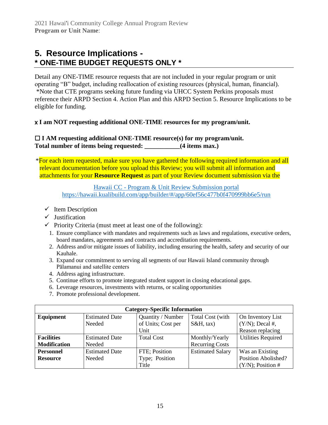### **5. Resource Implications - \* ONE-TIME BUDGET REQUESTS ONLY \***

Detail any ONE-TIME resource requests that are not included in your regular program or unit operating "B" budget, including reallocation of existing resources (physical, human, financial). \*Note that CTE programs seeking future funding via UHCC System Perkins proposals must reference their ARPD Section 4. Action Plan and this ARPD Section 5. Resource Implications to be eligible for funding.

#### x **I am NOT requesting additional ONE-TIME resources for my program/unit.**

#### ☐ **I AM requesting additional ONE-TIME resource(s) for my program/unit. Total number of items being requested: \_\_\_\_\_\_\_\_\_\_\_(4 items max.)**

\*For each item requested, make sure you have gathered the following required information and all relevant documentation before you upload this Review; you will submit all information and attachments for your **Resource Request** as part of your Review document submission via the

> Hawaii CC - [Program & Unit Review Submission portal](https://hawaii.kualibuild.com/app/builder/#/app/60ef56c477b0f470999bb6e5/run) <https://hawaii.kualibuild.com/app/builder/#/app/60ef56c477b0f470999bb6e5/run>

- $\checkmark$  Item Description
- ✓ Justification
- $\checkmark$  Priority Criteria (must meet at least one of the following):
	- 1. Ensure compliance with mandates and requirements such as laws and regulations, executive orders, board mandates, agreements and contracts and accreditation requirements.
	- 2. Address and/or mitigate issues of liability, including ensuring the health, safety and security of our Kauhale.
	- 3. Expand our commitment to serving all segments of our Hawaii Island community through Pālamanui and satellite centers
	- 4. Address aging infrastructure.
	- 5. Continue efforts to promote integrated student support in closing educational gaps.
	- 6. Leverage resources, investments with returns, or scaling opportunities
	- 7. Promote professional development.

| <b>Category-Specific Information</b> |                       |                    |                         |                           |
|--------------------------------------|-----------------------|--------------------|-------------------------|---------------------------|
| Equipment                            | <b>Estimated Date</b> | Quantity / Number  | Total Cost (with        | On Inventory List         |
|                                      | Needed                | of Units; Cost per | $S\&H$ , tax)           | $(Y/N)$ ; Decal #,        |
|                                      |                       | Unit               |                         | Reason replacing          |
| <b>Facilities</b>                    | <b>Estimated Date</b> | <b>Total Cost</b>  | Monthly/Yearly          | <b>Utilities Required</b> |
| <b>Modification</b>                  | Needed                |                    | <b>Recurring Costs</b>  |                           |
| <b>Personnel</b>                     | <b>Estimated Date</b> | FTE; Position      | <b>Estimated Salary</b> | Was an Existing           |
| <b>Resource</b>                      | Needed                | Type; Position     |                         | Position Abolished?       |
|                                      |                       | Title              |                         | $(Y/N)$ ; Position #      |